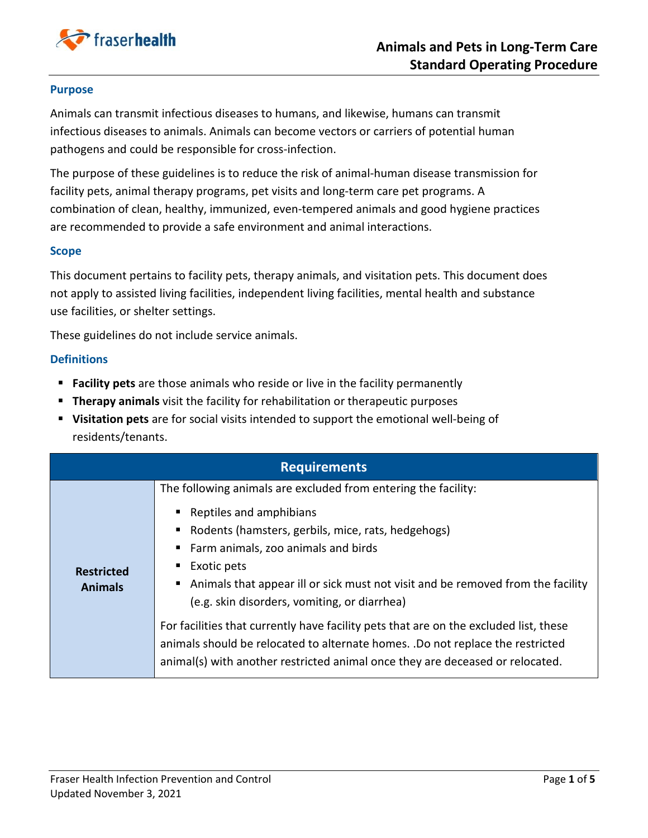

### **Purpose**

Animals can transmit infectious diseases to humans, and likewise, humans can transmit infectious diseases to animals. Animals can become vectors or carriers of potential human pathogens and could be responsible for cross-infection.

The purpose of these guidelines is to reduce the risk of animal-human disease transmission for facility pets, animal therapy programs, pet visits and long-term care pet programs. A combination of clean, healthy, immunized, even-tempered animals and good hygiene practices are recommended to provide a safe environment and animal interactions.

### **Scope**

This document pertains to facility pets, therapy animals, and visitation pets. This document does not apply to assisted living facilities, independent living facilities, mental health and substance use facilities, or shelter settings.

These guidelines do not include service animals.

### **Definitions**

- **Facility pets** are those animals who reside or live in the facility permanently
- **Therapy animals** visit the facility for rehabilitation or therapeutic purposes
- **Visitation pets** are for social visits intended to support the emotional well-being of residents/tenants.

| <b>Requirements</b>                 |                                                                                                                                                                                                                                                                                                                                                                                                                                                                                                                                                                                                                                 |  |
|-------------------------------------|---------------------------------------------------------------------------------------------------------------------------------------------------------------------------------------------------------------------------------------------------------------------------------------------------------------------------------------------------------------------------------------------------------------------------------------------------------------------------------------------------------------------------------------------------------------------------------------------------------------------------------|--|
| <b>Restricted</b><br><b>Animals</b> | The following animals are excluded from entering the facility:<br>Reptiles and amphibians<br>٠<br>Rodents (hamsters, gerbils, mice, rats, hedgehogs)<br>л.<br>Farm animals, zoo animals and birds<br>л.<br>Exotic pets<br>п<br>Animals that appear ill or sick must not visit and be removed from the facility<br>п<br>(e.g. skin disorders, vomiting, or diarrhea)<br>For facilities that currently have facility pets that are on the excluded list, these<br>animals should be relocated to alternate homes. .Do not replace the restricted<br>animal(s) with another restricted animal once they are deceased or relocated. |  |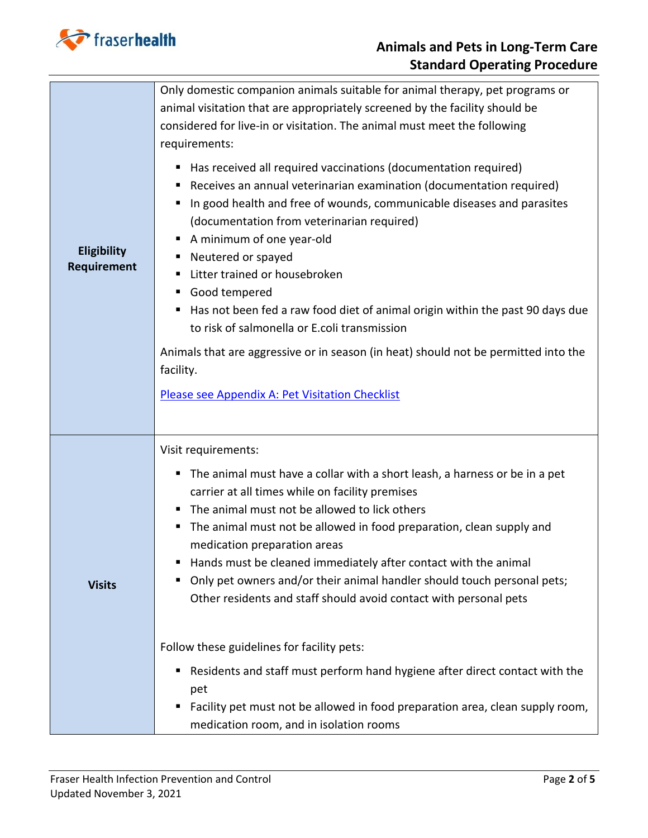

| Eligibility<br>Requirement | Only domestic companion animals suitable for animal therapy, pet programs or<br>animal visitation that are appropriately screened by the facility should be<br>considered for live-in or visitation. The animal must meet the following<br>requirements:<br>■ Has received all required vaccinations (documentation required)<br>Receives an annual veterinarian examination (documentation required)<br>ш<br>In good health and free of wounds, communicable diseases and parasites<br>(documentation from veterinarian required)<br>A minimum of one year-old<br>■ Neutered or spayed<br>Litter trained or housebroken<br>ш<br>Good tempered<br>Has not been fed a raw food diet of animal origin within the past 90 days due<br>to risk of salmonella or E.coli transmission<br>Animals that are aggressive or in season (in heat) should not be permitted into the<br>facility.<br>Please see Appendix A: Pet Visitation Checklist |
|----------------------------|----------------------------------------------------------------------------------------------------------------------------------------------------------------------------------------------------------------------------------------------------------------------------------------------------------------------------------------------------------------------------------------------------------------------------------------------------------------------------------------------------------------------------------------------------------------------------------------------------------------------------------------------------------------------------------------------------------------------------------------------------------------------------------------------------------------------------------------------------------------------------------------------------------------------------------------|
| <b>Visits</b>              | Visit requirements:<br>The animal must have a collar with a short leash, a harness or be in a pet<br>٠<br>carrier at all times while on facility premises<br>■ The animal must not be allowed to lick others<br>The animal must not be allowed in food preparation, clean supply and<br>medication preparation areas<br>Hands must be cleaned immediately after contact with the animal<br>■<br>Only pet owners and/or their animal handler should touch personal pets;<br>Other residents and staff should avoid contact with personal pets<br>Follow these guidelines for facility pets:<br>Residents and staff must perform hand hygiene after direct contact with the<br>п<br>pet<br>Facility pet must not be allowed in food preparation area, clean supply room,<br>medication room, and in isolation rooms                                                                                                                      |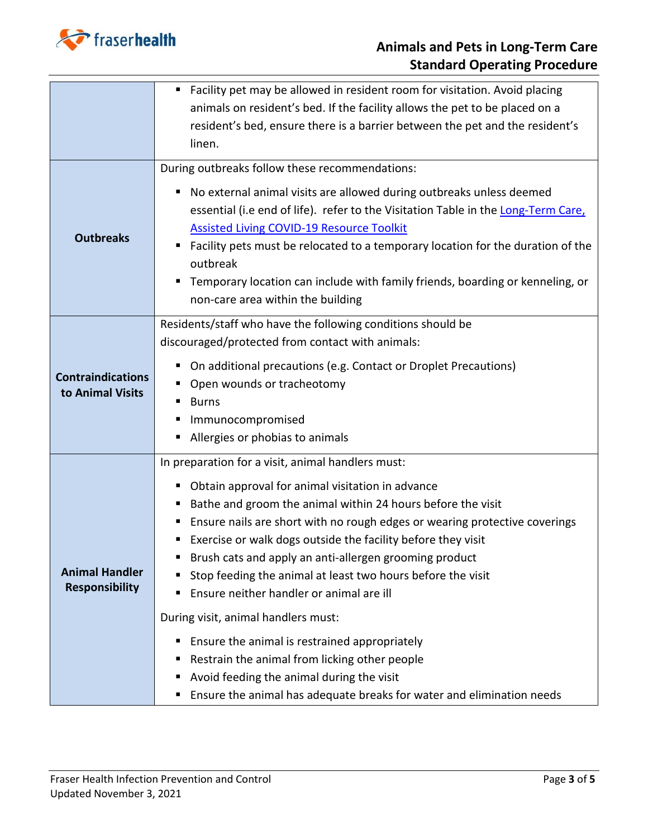

# **Animals and Pets in Long-Term Care Standard Operating Procedure**

|                                                | Facility pet may be allowed in resident room for visitation. Avoid placing<br>ш                                                                                                                                                                                                                                                                                                                                                                                                                                                                                                                                                                               |
|------------------------------------------------|---------------------------------------------------------------------------------------------------------------------------------------------------------------------------------------------------------------------------------------------------------------------------------------------------------------------------------------------------------------------------------------------------------------------------------------------------------------------------------------------------------------------------------------------------------------------------------------------------------------------------------------------------------------|
|                                                | animals on resident's bed. If the facility allows the pet to be placed on a                                                                                                                                                                                                                                                                                                                                                                                                                                                                                                                                                                                   |
|                                                | resident's bed, ensure there is a barrier between the pet and the resident's                                                                                                                                                                                                                                                                                                                                                                                                                                                                                                                                                                                  |
|                                                | linen.                                                                                                                                                                                                                                                                                                                                                                                                                                                                                                                                                                                                                                                        |
|                                                | During outbreaks follow these recommendations:                                                                                                                                                                                                                                                                                                                                                                                                                                                                                                                                                                                                                |
| <b>Outbreaks</b>                               | No external animal visits are allowed during outbreaks unless deemed<br>п<br>essential (i.e end of life). refer to the Visitation Table in the Long-Term Care,<br><b>Assisted Living COVID-19 Resource Toolkit</b><br>Facility pets must be relocated to a temporary location for the duration of the<br>ш<br>outbreak<br>Temporary location can include with family friends, boarding or kenneling, or<br>non-care area within the building                                                                                                                                                                                                                  |
| <b>Contraindications</b><br>to Animal Visits   | Residents/staff who have the following conditions should be<br>discouraged/protected from contact with animals:<br>• On additional precautions (e.g. Contact or Droplet Precautions)<br>Open wounds or tracheotomy<br>п<br><b>Burns</b><br>Immunocompromised<br>ш                                                                                                                                                                                                                                                                                                                                                                                             |
|                                                | Allergies or phobias to animals<br>п                                                                                                                                                                                                                                                                                                                                                                                                                                                                                                                                                                                                                          |
|                                                | In preparation for a visit, animal handlers must:                                                                                                                                                                                                                                                                                                                                                                                                                                                                                                                                                                                                             |
| <b>Animal Handler</b><br><b>Responsibility</b> | • Obtain approval for animal visitation in advance<br>Bathe and groom the animal within 24 hours before the visit<br>п<br>Ensure nails are short with no rough edges or wearing protective coverings<br>ш<br>Exercise or walk dogs outside the facility before they visit<br>Brush cats and apply an anti-allergen grooming product<br>Stop feeding the animal at least two hours before the visit<br>п<br>Ensure neither handler or animal are ill<br>ш<br>During visit, animal handlers must:<br>Ensure the animal is restrained appropriately<br>п<br>Restrain the animal from licking other people<br>ш<br>Avoid feeding the animal during the visit<br>п |
|                                                | Ensure the animal has adequate breaks for water and elimination needs<br>п                                                                                                                                                                                                                                                                                                                                                                                                                                                                                                                                                                                    |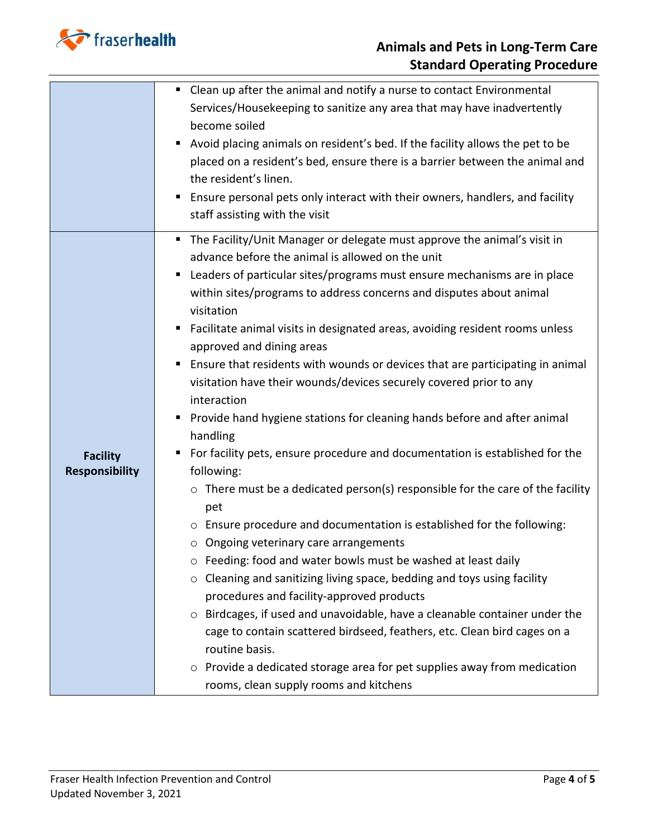

# **Animals and Pets in Long-Term Care Standard Operating Procedure**

|                                          | Clean up after the animal and notify a nurse to contact Environmental<br>п<br>Services/Housekeeping to sanitize any area that may have inadvertently<br>become soiled<br>Avoid placing animals on resident's bed. If the facility allows the pet to be<br>placed on a resident's bed, ensure there is a barrier between the animal and<br>the resident's linen.<br>Ensure personal pets only interact with their owners, handlers, and facility<br>staff assisting with the visit                                                                                                                                                                                                                                                                                                                                                                                                                                                                                                                                                                                                                                                                                                                                                                                                                                                                                                                                                                                                                                         |
|------------------------------------------|---------------------------------------------------------------------------------------------------------------------------------------------------------------------------------------------------------------------------------------------------------------------------------------------------------------------------------------------------------------------------------------------------------------------------------------------------------------------------------------------------------------------------------------------------------------------------------------------------------------------------------------------------------------------------------------------------------------------------------------------------------------------------------------------------------------------------------------------------------------------------------------------------------------------------------------------------------------------------------------------------------------------------------------------------------------------------------------------------------------------------------------------------------------------------------------------------------------------------------------------------------------------------------------------------------------------------------------------------------------------------------------------------------------------------------------------------------------------------------------------------------------------------|
| <b>Facility</b><br><b>Responsibility</b> | " The Facility/Unit Manager or delegate must approve the animal's visit in<br>advance before the animal is allowed on the unit<br>Leaders of particular sites/programs must ensure mechanisms are in place<br>п<br>within sites/programs to address concerns and disputes about animal<br>visitation<br>Facilitate animal visits in designated areas, avoiding resident rooms unless<br>п<br>approved and dining areas<br>Ensure that residents with wounds or devices that are participating in animal<br>visitation have their wounds/devices securely covered prior to any<br>interaction<br>Provide hand hygiene stations for cleaning hands before and after animal<br>п<br>handling<br>For facility pets, ensure procedure and documentation is established for the<br>٠<br>following:<br>$\circ$ There must be a dedicated person(s) responsible for the care of the facility<br>pet<br>o Ensure procedure and documentation is established for the following:<br>o Ongoing veterinary care arrangements<br>o Feeding: food and water bowls must be washed at least daily<br>Cleaning and sanitizing living space, bedding and toys using facility<br>$\circ$<br>procedures and facility-approved products<br>o Birdcages, if used and unavoidable, have a cleanable container under the<br>cage to contain scattered birdseed, feathers, etc. Clean bird cages on a<br>routine basis.<br>$\circ$ Provide a dedicated storage area for pet supplies away from medication<br>rooms, clean supply rooms and kitchens |